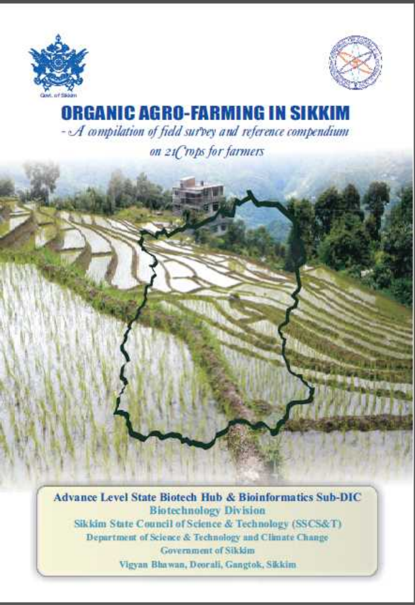



## ORGANIC AGRO-FARMING IN SIKKIM - A compilation of field survey and reference compendium

on 21 Crops for farmers

**Advance Level State Biotech Hub & Bioinformatics Sub-DIC Biotechnology Division** Sikkim State Council of Science & Technology (SSCS&T) Department of Science & Technology and Climate Change **Government** of Sikkim Vigyan Bhawan, Deorali, Gangtok, Sikkim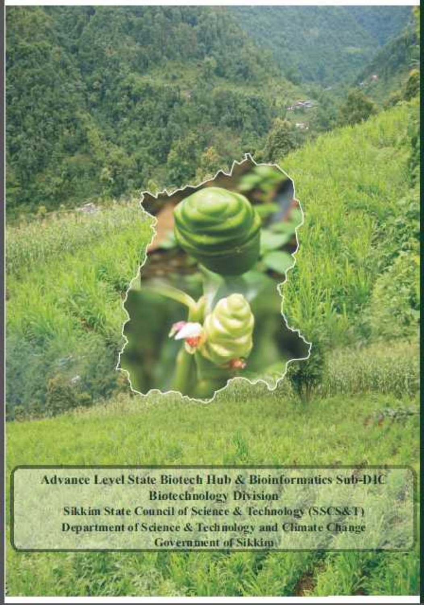**Advance Level State Biotech Hub & Bioinformatics Sub-DIC Biotechnology Division Sikkim State Council of Science & Technology (SSCS&T)** Department of Science & Technology and Climate Change **Government of Sikkim**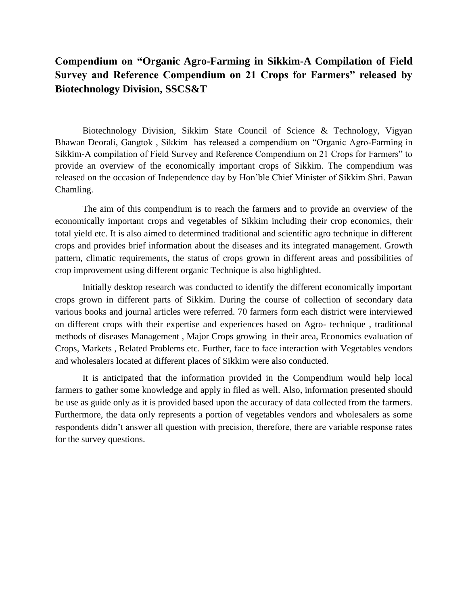## **Compendium on "Organic Agro-Farming in Sikkim-A Compilation of Field Survey and Reference Compendium on 21 Crops for Farmers" released by Biotechnology Division, SSCS&T**

Biotechnology Division, Sikkim State Council of Science & Technology, Vigyan Bhawan Deorali, Gangtok , Sikkim has released a compendium on "Organic Agro-Farming in Sikkim-A compilation of Field Survey and Reference Compendium on 21 Crops for Farmers" to provide an overview of the economically important crops of Sikkim. The compendium was released on the occasion of Independence day by Hon'ble Chief Minister of Sikkim Shri. Pawan Chamling.

The aim of this compendium is to reach the farmers and to provide an overview of the economically important crops and vegetables of Sikkim including their crop economics, their total yield etc. It is also aimed to determined traditional and scientific agro technique in different crops and provides brief information about the diseases and its integrated management. Growth pattern, climatic requirements, the status of crops grown in different areas and possibilities of crop improvement using different organic Technique is also highlighted.

Initially desktop research was conducted to identify the different economically important crops grown in different parts of Sikkim. During the course of collection of secondary data various books and journal articles were referred. 70 farmers form each district were interviewed on different crops with their expertise and experiences based on Agro- technique , traditional methods of diseases Management , Major Crops growing in their area, Economics evaluation of Crops, Markets , Related Problems etc. Further, face to face interaction with Vegetables vendors and wholesalers located at different places of Sikkim were also conducted.

It is anticipated that the information provided in the Compendium would help local farmers to gather some knowledge and apply in filed as well. Also, information presented should be use as guide only as it is provided based upon the accuracy of data collected from the farmers. Furthermore, the data only represents a portion of vegetables vendors and wholesalers as some respondents didn't answer all question with precision, therefore, there are variable response rates for the survey questions.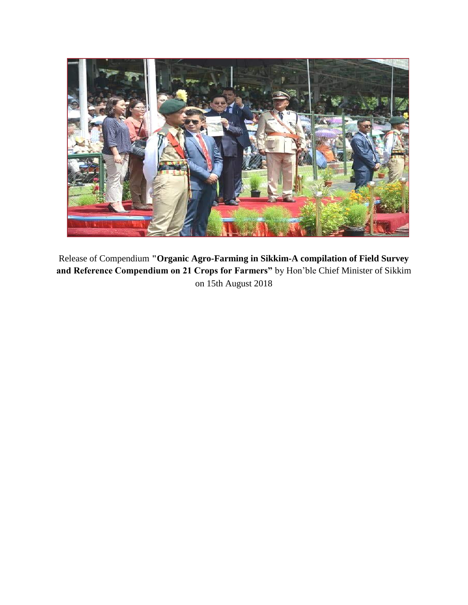

Release of Compendium **"Organic Agro-Farming in Sikkim-A compilation of Field Survey and Reference Compendium on 21 Crops for Farmers"** by Hon'ble Chief Minister of Sikkim on 15th August 2018